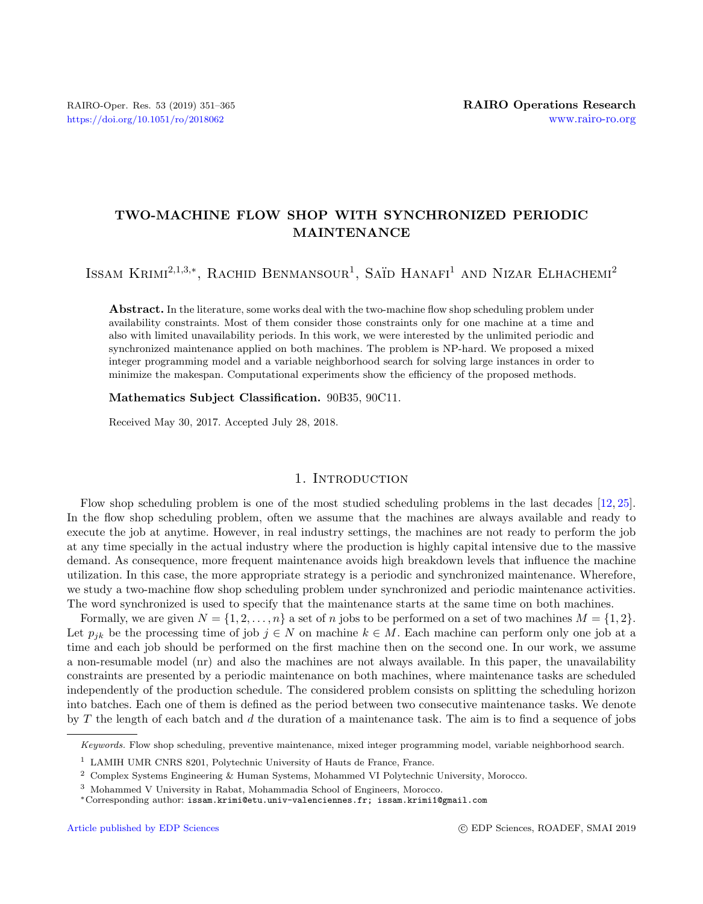# TWO-MACHINE FLOW SHOP WITH SYNCHRONIZED PERIODIC MAINTENANCE

ISSAM KRIMI<sup>2,1,3,\*</sup>, RACHID BENMANSOUR<sup>1</sup>, SAÏD HANAFI<sup>1</sup> AND NIZAR ELHACHEMI<sup>2</sup>

Abstract. In the literature, some works deal with the two-machine flow shop scheduling problem under availability constraints. Most of them consider those constraints only for one machine at a time and also with limited unavailability periods. In this work, we were interested by the unlimited periodic and synchronized maintenance applied on both machines. The problem is NP-hard. We proposed a mixed integer programming model and a variable neighborhood search for solving large instances in order to minimize the makespan. Computational experiments show the efficiency of the proposed methods.

## Mathematics Subject Classification. 90B35, 90C11.

Received May 30, 2017. Accepted July 28, 2018.

#### 1. INTRODUCTION

Flow shop scheduling problem is one of the most studied scheduling problems in the last decades [\[12,](#page-13-0) [25\]](#page-14-0). In the flow shop scheduling problem, often we assume that the machines are always available and ready to execute the job at anytime. However, in real industry settings, the machines are not ready to perform the job at any time specially in the actual industry where the production is highly capital intensive due to the massive demand. As consequence, more frequent maintenance avoids high breakdown levels that influence the machine utilization. In this case, the more appropriate strategy is a periodic and synchronized maintenance. Wherefore, we study a two-machine flow shop scheduling problem under synchronized and periodic maintenance activities. The word synchronized is used to specify that the maintenance starts at the same time on both machines.

Formally, we are given  $N = \{1, 2, ..., n\}$  a set of n jobs to be performed on a set of two machines  $M = \{1, 2\}$ . Let  $p_{ik}$  be the processing time of job  $j \in N$  on machine  $k \in M$ . Each machine can perform only one job at a time and each job should be performed on the first machine then on the second one. In our work, we assume a non-resumable model (nr) and also the machines are not always available. In this paper, the unavailability constraints are presented by a periodic maintenance on both machines, where maintenance tasks are scheduled independently of the production schedule. The considered problem consists on splitting the scheduling horizon into batches. Each one of them is defined as the period between two consecutive maintenance tasks. We denote by T the length of each batch and d the duration of a maintenance task. The aim is to find a sequence of jobs

Keywords. Flow shop scheduling, preventive maintenance, mixed integer programming model, variable neighborhood search.

<sup>&</sup>lt;sup>1</sup> LAMIH UMR CNRS 8201, Polytechnic University of Hauts de France, France.

<sup>2</sup> Complex Systems Engineering & Human Systems, Mohammed VI Polytechnic University, Morocco.

<sup>3</sup> Mohammed V University in Rabat, Mohammadia School of Engineers, Morocco.

<sup>∗</sup>Corresponding author: [issam.krimi@etu.univ-valenciennes.fr](mailto:issam.krimi@etu.univ-valenciennes.fr); [issam.krimi1@gmail.com](mailto:issam.krimi1@gmail.com)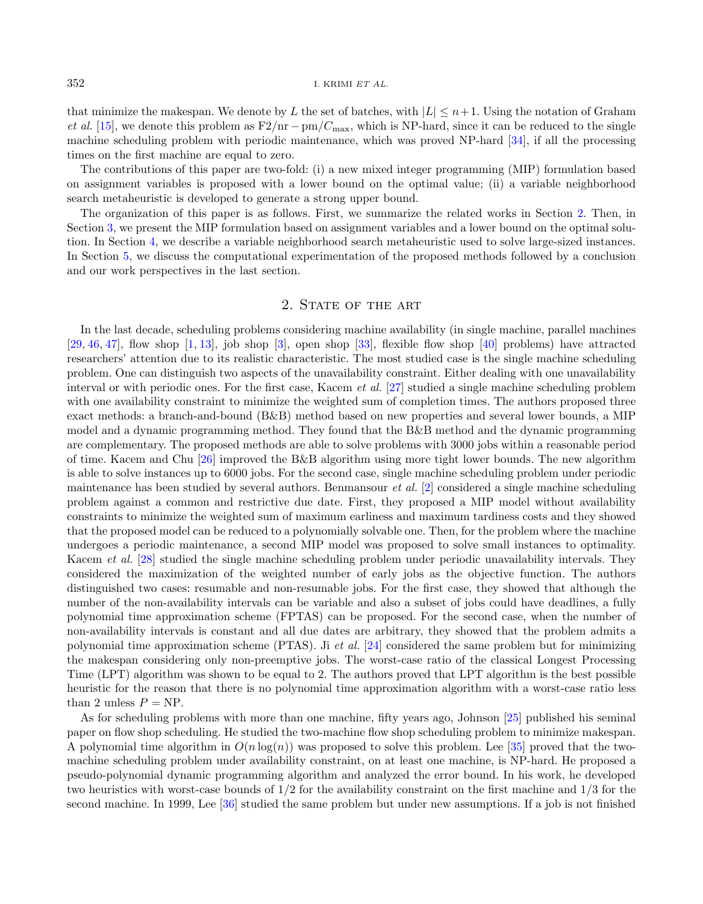that minimize the makespan. We denote by L the set of batches, with  $|L| \leq n+1$ . Using the notation of Graham et al. [\[15\]](#page-13-1), we denote this problem as  $F2/nr - pm/C_{\text{max}}$ , which is NP-hard, since it can be reduced to the single machine scheduling problem with periodic maintenance, which was proved NP-hard [\[34\]](#page-14-1), if all the processing times on the first machine are equal to zero.

The contributions of this paper are two-fold: (i) a new mixed integer programming (MIP) formulation based on assignment variables is proposed with a lower bound on the optimal value; (ii) a variable neighborhood search metaheuristic is developed to generate a strong upper bound.

The organization of this paper is as follows. First, we summarize the related works in Section [2.](#page-1-0) Then, in Section [3,](#page-3-0) we present the MIP formulation based on assignment variables and a lower bound on the optimal solution. In Section [4,](#page-5-0) we describe a variable neighborhood search metaheuristic used to solve large-sized instances. In Section [5,](#page-8-0) we discuss the computational experimentation of the proposed methods followed by a conclusion and our work perspectives in the last section.

## 2. STATE OF THE ART

<span id="page-1-0"></span>In the last decade, scheduling problems considering machine availability (in single machine, parallel machines  $[29, 46, 47]$  $[29, 46, 47]$  $[29, 46, 47]$  $[29, 46, 47]$  $[29, 46, 47]$ , flow shop  $[1, 13]$  $[1, 13]$  $[1, 13]$ , job shop  $[3]$ , open shop  $[33]$ , flexible flow shop  $[40]$  problems) have attracted researchers' attention due to its realistic characteristic. The most studied case is the single machine scheduling problem. One can distinguish two aspects of the unavailability constraint. Either dealing with one unavailability interval or with periodic ones. For the first case, Kacem et al. [\[27\]](#page-14-7) studied a single machine scheduling problem with one availability constraint to minimize the weighted sum of completion times. The authors proposed three exact methods: a branch-and-bound (B&B) method based on new properties and several lower bounds, a MIP model and a dynamic programming method. They found that the B&B method and the dynamic programming are complementary. The proposed methods are able to solve problems with 3000 jobs within a reasonable period of time. Kacem and Chu [\[26\]](#page-14-8) improved the B&B algorithm using more tight lower bounds. The new algorithm is able to solve instances up to 6000 jobs. For the second case, single machine scheduling problem under periodic maintenance has been studied by several authors. Benmansour et al. [\[2\]](#page-13-5) considered a single machine scheduling problem against a common and restrictive due date. First, they proposed a MIP model without availability constraints to minimize the weighted sum of maximum earliness and maximum tardiness costs and they showed that the proposed model can be reduced to a polynomially solvable one. Then, for the problem where the machine undergoes a periodic maintenance, a second MIP model was proposed to solve small instances to optimality. Kacem et al. [\[28\]](#page-14-9) studied the single machine scheduling problem under periodic unavailability intervals. They considered the maximization of the weighted number of early jobs as the objective function. The authors distinguished two cases: resumable and non-resumable jobs. For the first case, they showed that although the number of the non-availability intervals can be variable and also a subset of jobs could have deadlines, a fully polynomial time approximation scheme (FPTAS) can be proposed. For the second case, when the number of non-availability intervals is constant and all due dates are arbitrary, they showed that the problem admits a polynomial time approximation scheme (PTAS). Ji et al.  $[24]$  considered the same problem but for minimizing the makespan considering only non-preemptive jobs. The worst-case ratio of the classical Longest Processing Time (LPT) algorithm was shown to be equal to 2. The authors proved that LPT algorithm is the best possible heuristic for the reason that there is no polynomial time approximation algorithm with a worst-case ratio less than 2 unless  $P = NP$ .

As for scheduling problems with more than one machine, fifty years ago, Johnson [\[25\]](#page-14-0) published his seminal paper on flow shop scheduling. He studied the two-machine flow shop scheduling problem to minimize makespan. A polynomial time algorithm in  $O(n \log(n))$  was proposed to solve this problem. Lee [\[35\]](#page-14-11) proved that the twomachine scheduling problem under availability constraint, on at least one machine, is NP-hard. He proposed a pseudo-polynomial dynamic programming algorithm and analyzed the error bound. In his work, he developed two heuristics with worst-case bounds of 1/2 for the availability constraint on the first machine and 1/3 for the second machine. In 1999, Lee [\[36\]](#page-14-12) studied the same problem but under new assumptions. If a job is not finished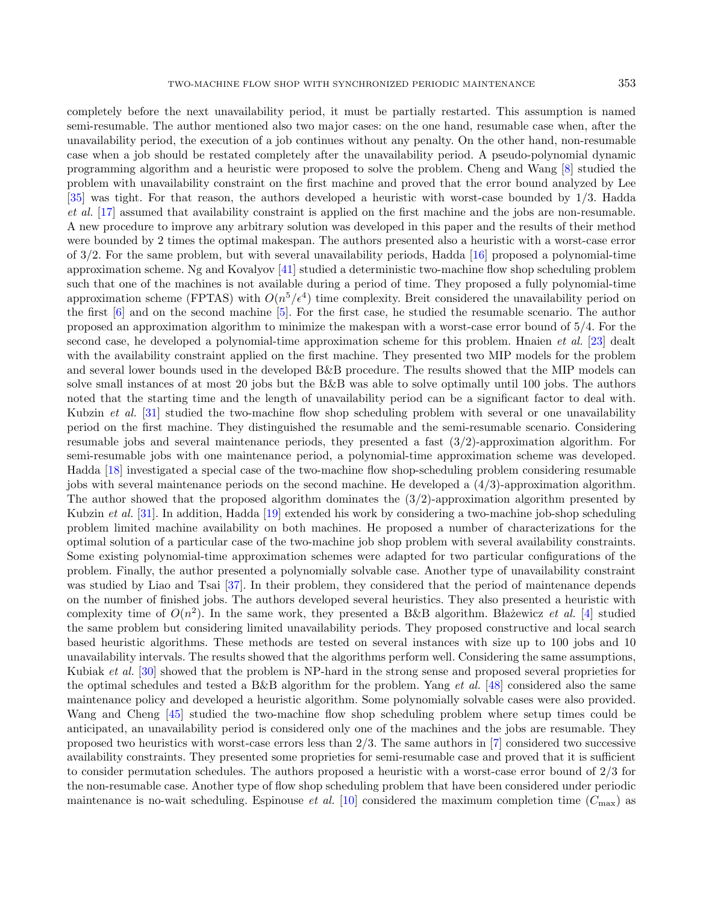completely before the next unavailability period, it must be partially restarted. This assumption is named semi-resumable. The author mentioned also two major cases: on the one hand, resumable case when, after the unavailability period, the execution of a job continues without any penalty. On the other hand, non-resumable case when a job should be restated completely after the unavailability period. A pseudo-polynomial dynamic programming algorithm and a heuristic were proposed to solve the problem. Cheng and Wang [\[8\]](#page-13-6) studied the problem with unavailability constraint on the first machine and proved that the error bound analyzed by Lee [\[35\]](#page-14-11) was tight. For that reason, the authors developed a heuristic with worst-case bounded by 1/3. Hadda et al. [\[17\]](#page-13-7) assumed that availability constraint is applied on the first machine and the jobs are non-resumable. A new procedure to improve any arbitrary solution was developed in this paper and the results of their method were bounded by 2 times the optimal makespan. The authors presented also a heuristic with a worst-case error of 3/2. For the same problem, but with several unavailability periods, Hadda [\[16\]](#page-13-8) proposed a polynomial-time approximation scheme. Ng and Kovalyov [\[41\]](#page-14-13) studied a deterministic two-machine flow shop scheduling problem such that one of the machines is not available during a period of time. They proposed a fully polynomial-time approximation scheme (FPTAS) with  $O(n^5/\epsilon^4)$  time complexity. Breit considered the unavailability period on the first [\[6\]](#page-13-9) and on the second machine [\[5\]](#page-13-10). For the first case, he studied the resumable scenario. The author proposed an approximation algorithm to minimize the makespan with a worst-case error bound of 5/4. For the second case, he developed a polynomial-time approximation scheme for this problem. Hnaien *et al.* [\[23\]](#page-14-14) dealt with the availability constraint applied on the first machine. They presented two MIP models for the problem and several lower bounds used in the developed B&B procedure. The results showed that the MIP models can solve small instances of at most 20 jobs but the B&B was able to solve optimally until 100 jobs. The authors noted that the starting time and the length of unavailability period can be a significant factor to deal with. Kubzin *et al.* [\[31\]](#page-14-15) studied the two-machine flow shop scheduling problem with several or one unavailability period on the first machine. They distinguished the resumable and the semi-resumable scenario. Considering resumable jobs and several maintenance periods, they presented a fast (3/2)-approximation algorithm. For semi-resumable jobs with one maintenance period, a polynomial-time approximation scheme was developed. Hadda [\[18\]](#page-13-11) investigated a special case of the two-machine flow shop-scheduling problem considering resumable jobs with several maintenance periods on the second machine. He developed a (4/3)-approximation algorithm. The author showed that the proposed algorithm dominates the  $(3/2)$ -approximation algorithm presented by Kubzin et al. [\[31\]](#page-14-15). In addition, Hadda [\[19\]](#page-13-12) extended his work by considering a two-machine job-shop scheduling problem limited machine availability on both machines. He proposed a number of characterizations for the optimal solution of a particular case of the two-machine job shop problem with several availability constraints. Some existing polynomial-time approximation schemes were adapted for two particular configurations of the problem. Finally, the author presented a polynomially solvable case. Another type of unavailability constraint was studied by Liao and Tsai [\[37\]](#page-14-16). In their problem, they considered that the period of maintenance depends on the number of finished jobs. The authors developed several heuristics. They also presented a heuristic with complexity time of  $O(n^2)$ . In the same work, they presented a B&B algorithm. Blazewicz et al. [\[4\]](#page-13-13) studied the same problem but considering limited unavailability periods. They proposed constructive and local search based heuristic algorithms. These methods are tested on several instances with size up to 100 jobs and 10 unavailability intervals. The results showed that the algorithms perform well. Considering the same assumptions, Kubiak et al. [\[30\]](#page-14-17) showed that the problem is NP-hard in the strong sense and proposed several proprieties for the optimal schedules and tested a B&B algorithm for the problem. Yang et al. [\[48\]](#page-14-18) considered also the same maintenance policy and developed a heuristic algorithm. Some polynomially solvable cases were also provided. Wang and Cheng [\[45\]](#page-14-19) studied the two-machine flow shop scheduling problem where setup times could be anticipated, an unavailability period is considered only one of the machines and the jobs are resumable. They proposed two heuristics with worst-case errors less than 2/3. The same authors in [\[7\]](#page-13-14) considered two successive availability constraints. They presented some proprieties for semi-resumable case and proved that it is sufficient to consider permutation schedules. The authors proposed a heuristic with a worst-case error bound of 2/3 for the non-resumable case. Another type of flow shop scheduling problem that have been considered under periodic maintenance is no-wait scheduling. Espinouse *et al.* [\[10\]](#page-13-15) considered the maximum completion time  $(C_{\text{max}})$  as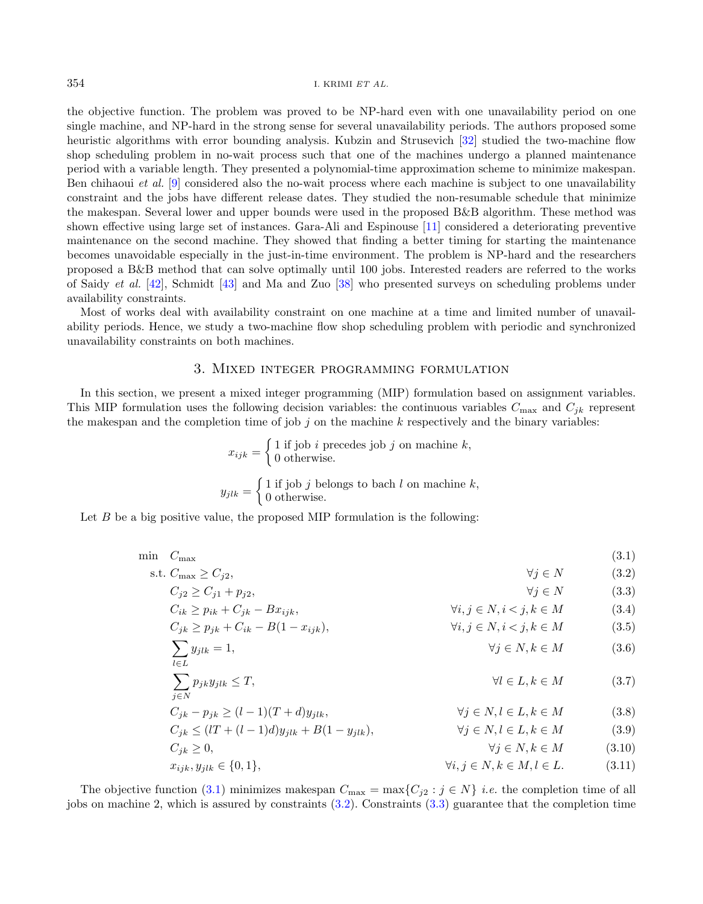the objective function. The problem was proved to be NP-hard even with one unavailability period on one single machine, and NP-hard in the strong sense for several unavailability periods. The authors proposed some heuristic algorithms with error bounding analysis. Kubzin and Strusevich [\[32\]](#page-14-20) studied the two-machine flow shop scheduling problem in no-wait process such that one of the machines undergo a planned maintenance period with a variable length. They presented a polynomial-time approximation scheme to minimize makespan. Ben chihaoui et al. [\[9\]](#page-13-16) considered also the no-wait process where each machine is subject to one unavailability constraint and the jobs have different release dates. They studied the non-resumable schedule that minimize the makespan. Several lower and upper bounds were used in the proposed B&B algorithm. These method was shown effective using large set of instances. Gara-Ali and Espinouse [\[11\]](#page-13-17) considered a deteriorating preventive maintenance on the second machine. They showed that finding a better timing for starting the maintenance becomes unavoidable especially in the just-in-time environment. The problem is NP-hard and the researchers proposed a B&B method that can solve optimally until 100 jobs. Interested readers are referred to the works of Saidy et al. [\[42\]](#page-14-21), Schmidt [\[43\]](#page-14-22) and Ma and Zuo [\[38\]](#page-14-23) who presented surveys on scheduling problems under availability constraints.

Most of works deal with availability constraint on one machine at a time and limited number of unavailability periods. Hence, we study a two-machine flow shop scheduling problem with periodic and synchronized unavailability constraints on both machines.

## 3. Mixed integer programming formulation

<span id="page-3-0"></span>In this section, we present a mixed integer programming (MIP) formulation based on assignment variables. This MIP formulation uses the following decision variables: the continuous variables  $C_{\text{max}}$  and  $C_{ik}$  represent the makespan and the completion time of job j on the machine k respectively and the binary variables:

<span id="page-3-11"></span><span id="page-3-10"></span><span id="page-3-9"></span><span id="page-3-8"></span><span id="page-3-7"></span><span id="page-3-6"></span><span id="page-3-5"></span><span id="page-3-4"></span><span id="page-3-3"></span><span id="page-3-2"></span><span id="page-3-1"></span>
$$
x_{ijk} = \begin{cases} 1 \text{ if job } i \text{ precedes job } j \text{ on machine } k, \\ 0 \text{ otherwise.} \end{cases}
$$

$$
y_{jlk} = \begin{cases} 1 \text{ if job } j \text{ belongs to batch } l \text{ on machine } k, \\ 0 \text{ otherwise.} \end{cases}
$$

Let  $B$  be a big positive value, the proposed MIP formulation is the following:

$$
\begin{aligned}\n\min \quad & C_{\max} & C_{\max} \\
\text{s.t. } & C_{\max} \ge C_{j2}, & \forall j \in N \\
& C_{j2} \ge C_{j1} + p_{j2}, & \forall j \in N \\
& C_{ik} \ge p_{ik} + C_{jk} - Bx_{ijk}, & \forall i, j \in N, i < j, k \in M \\
& C_{jk} \ge p_{jk} + C_{ik} - B(1 - x_{ijk}), & \forall i, j \in N, i < j, k \in M \\
& \forall i, j \in N, i < j, k \in M \\
& \forall j \in N, k \in M \\
& \forall j \in N, k \in M \\
& \forall j \in N, k \in M \\
& C_{jk} - p_{jk} \ge (l-1)(T+d)y_{jlk}, & \forall j \in N, l \in L, k \in M \\
& C_{jk} \le (l + (l-1)d)y_{jlk} + B(1 - y_{jlk}), & \forall j \in N, l \in L, k \in M \\
& C_{jk} \ge 0, & \forall j \in N, k \in M \\
& C_{jk} \ge 0, & \forall j \in N, k \in M \\
& C_{jk} \ge 0, & \forall j \in N, k \in M, l \in L. \\
\end{aligned}
$$
\n
$$
(3.1)
$$
\n
$$
\sum_{l \in L} \sum_{j \in N} p_{jk} y_{jlk} \le T, \quad \forall j \in N, l \in L, k \in M \\
(3.2)
$$

The objective function [\(3.1\)](#page-3-1) minimizes makespan  $C_{\text{max}} = \max\{C_{j2} : j \in N\}$  *i.e.* the completion time of all jobs on machine 2, which is assured by constraints [\(3.2\)](#page-3-2). Constraints [\(3.3\)](#page-3-3) guarantee that the completion time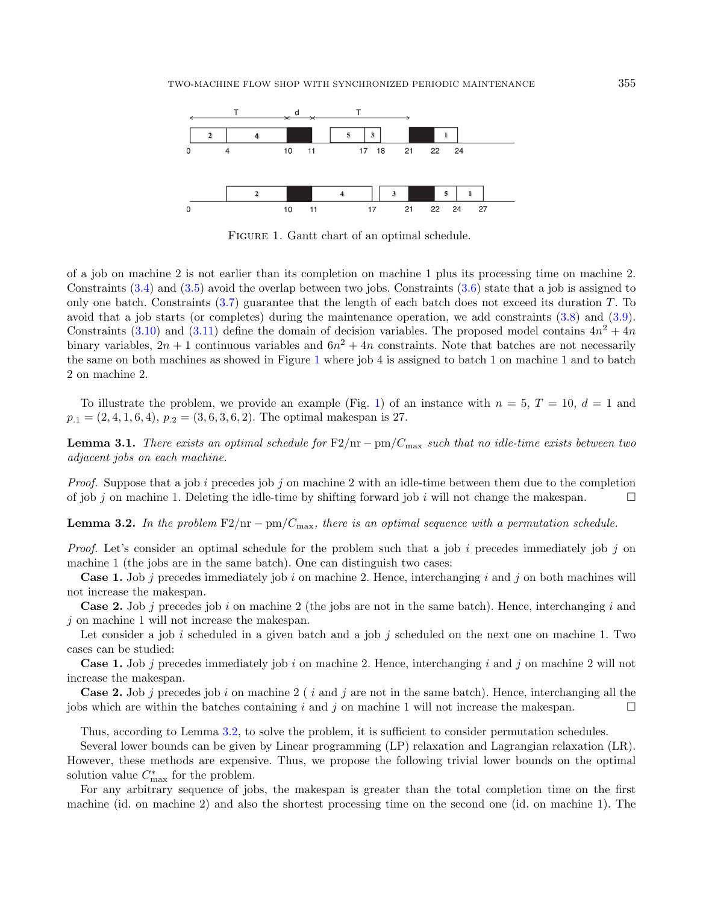<span id="page-4-0"></span>

FIGURE 1. Gantt chart of an optimal schedule.

of a job on machine 2 is not earlier than its completion on machine 1 plus its processing time on machine 2. Constraints [\(3.4\)](#page-3-4) and [\(3.5\)](#page-3-5) avoid the overlap between two jobs. Constraints [\(3.6\)](#page-3-6) state that a job is assigned to only one batch. Constraints [\(3.7\)](#page-3-7) guarantee that the length of each batch does not exceed its duration T. To avoid that a job starts (or completes) during the maintenance operation, we add constraints [\(3.8\)](#page-3-8) and [\(3.9\)](#page-3-9). Constraints [\(3.10\)](#page-3-10) and [\(3.11\)](#page-3-11) define the domain of decision variables. The proposed model contains  $4n^2 + 4n$ binary variables,  $2n + 1$  continuous variables and  $6n^2 + 4n$  constraints. Note that batches are not necessarily the same on both machines as showed in Figure [1](#page-4-0) where job 4 is assigned to batch 1 on machine 1 and to batch 2 on machine 2.

To illustrate the problem, we provide an example (Fig. [1\)](#page-4-0) of an instance with  $n = 5$ ,  $T = 10$ ,  $d = 1$  and  $p_{.1} = (2, 4, 1, 6, 4), p_{.2} = (3, 6, 3, 6, 2).$  The optimal makespan is 27.

**Lemma 3.1.** There exists an optimal schedule for  $F2/nr - pm/C_{\text{max}}$  such that no idle-time exists between two adjacent jobs on each machine.

*Proof.* Suppose that a job i precedes job j on machine 2 with an idle-time between them due to the completion of job j on machine 1. Deleting the idle-time by shifting forward job i will not change the makespan.

<span id="page-4-1"></span>**Lemma 3.2.** In the problem F2/nr – pm/ $C_{\text{max}}$ , there is an optimal sequence with a permutation schedule.

*Proof.* Let's consider an optimal schedule for the problem such that a job i precedes immediately job j on machine 1 (the jobs are in the same batch). One can distinguish two cases:

**Case 1.** Job j precedes immediately job i on machine 2. Hence, interchanging i and j on both machines will not increase the makespan.

**Case 2.** Job j precedes job i on machine 2 (the jobs are not in the same batch). Hence, interchanging i and  $j$  on machine 1 will not increase the makespan.

Let consider a job i scheduled in a given batch and a job j scheduled on the next one on machine 1. Two cases can be studied:

**Case 1.** Job j precedes immediately job i on machine 2. Hence, interchanging i and j on machine 2 will not increase the makespan.

**Case 2.** Job j precedes job i on machine 2 (*i* and j are not in the same batch). Hence, interchanging all the jobs which are within the batches containing i and j on machine 1 will not increase the makespan.

Thus, according to Lemma [3.2,](#page-4-1) to solve the problem, it is sufficient to consider permutation schedules.

Several lower bounds can be given by Linear programming (LP) relaxation and Lagrangian relaxation (LR). However, these methods are expensive. Thus, we propose the following trivial lower bounds on the optimal solution value  $C_{\text{max}}^*$  for the problem.

For any arbitrary sequence of jobs, the makespan is greater than the total completion time on the first machine (id. on machine 2) and also the shortest processing time on the second one (id. on machine 1). The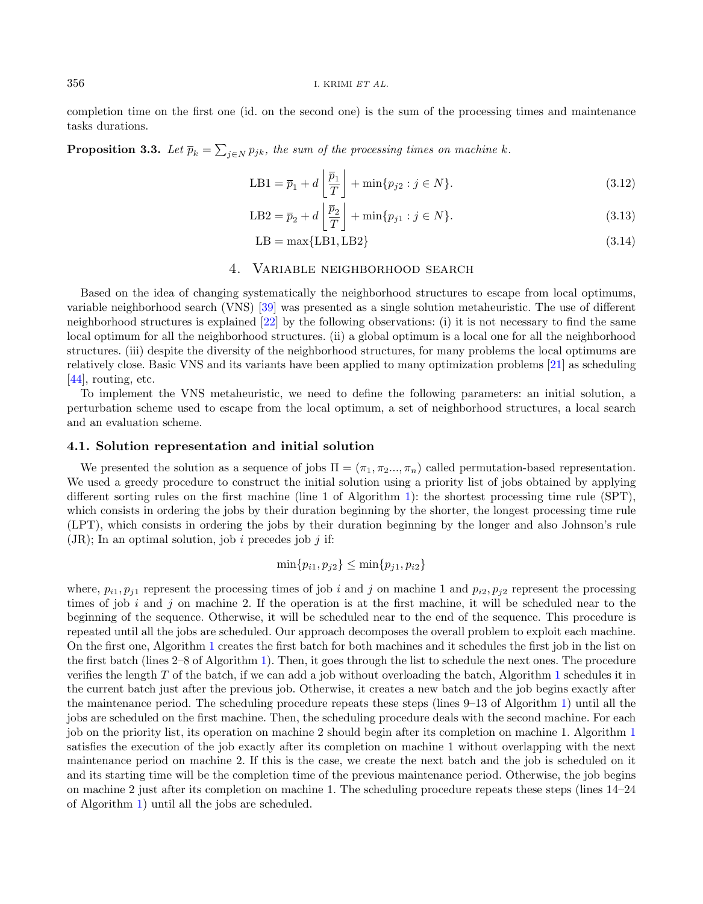completion time on the first one (id. on the second one) is the sum of the processing times and maintenance tasks durations.

**Proposition 3.3.** Let  $\overline{p}_k = \sum_{j \in N} p_{jk}$ , the sum of the processing times on machine k.

$$
LB1 = \overline{p}_1 + d\left\lfloor \frac{\overline{p}_1}{T} \right\rfloor + \min\{p_{j2} : j \in N\}.
$$
\n(3.12)

$$
LB2 = \overline{p}_2 + d\left[\frac{\overline{p}_2}{T}\right] + \min\{p_{j1} : j \in N\}.
$$
\n(3.13)

$$
LB = \max\{LB1, LB2\} \tag{3.14}
$$

## 4. Variable neighborhood search

<span id="page-5-0"></span>Based on the idea of changing systematically the neighborhood structures to escape from local optimums, variable neighborhood search (VNS) [\[39\]](#page-14-24) was presented as a single solution metaheuristic. The use of different neighborhood structures is explained [\[22\]](#page-14-25) by the following observations: (i) it is not necessary to find the same local optimum for all the neighborhood structures. (ii) a global optimum is a local one for all the neighborhood structures. (iii) despite the diversity of the neighborhood structures, for many problems the local optimums are relatively close. Basic VNS and its variants have been applied to many optimization problems [\[21\]](#page-14-26) as scheduling [\[44\]](#page-14-27), routing, etc.

To implement the VNS metaheuristic, we need to define the following parameters: an initial solution, a perturbation scheme used to escape from the local optimum, a set of neighborhood structures, a local search and an evaluation scheme.

#### 4.1. Solution representation and initial solution

We presented the solution as a sequence of jobs  $\Pi = (\pi_1, \pi_2, ..., \pi_n)$  called permutation-based representation. We used a greedy procedure to construct the initial solution using a priority list of jobs obtained by applying different sorting rules on the first machine (line 1 of Algorithm [1\)](#page-6-0): the shortest processing time rule (SPT), which consists in ordering the jobs by their duration beginning by the shorter, the longest processing time rule (LPT), which consists in ordering the jobs by their duration beginning by the longer and also Johnson's rule  $(JR)$ ; In an optimal solution, job i precedes job j if:

$$
\min\{p_{i1}, p_{j2}\} \le \min\{p_{j1}, p_{i2}\}\
$$

where,  $p_{i1}, p_{j1}$  represent the processing times of job i and j on machine 1 and  $p_{i2}, p_{j2}$  represent the processing times of job  $i$  and  $j$  on machine 2. If the operation is at the first machine, it will be scheduled near to the beginning of the sequence. Otherwise, it will be scheduled near to the end of the sequence. This procedure is repeated until all the jobs are scheduled. Our approach decomposes the overall problem to exploit each machine. On the first one, Algorithm [1](#page-6-0) creates the first batch for both machines and it schedules the first job in the list on the first batch (lines 2–8 of Algorithm [1\)](#page-6-0). Then, it goes through the list to schedule the next ones. The procedure verifies the length T of the batch, if we can add a job without overloading the batch, Algorithm [1](#page-6-0) schedules it in the current batch just after the previous job. Otherwise, it creates a new batch and the job begins exactly after the maintenance period. The scheduling procedure repeats these steps (lines 9–13 of Algorithm [1\)](#page-6-0) until all the jobs are scheduled on the first machine. Then, the scheduling procedure deals with the second machine. For each job on the priority list, its operation on machine 2 should begin after its completion on machine 1. Algorithm [1](#page-6-0) satisfies the execution of the job exactly after its completion on machine 1 without overlapping with the next maintenance period on machine 2. If this is the case, we create the next batch and the job is scheduled on it and its starting time will be the completion time of the previous maintenance period. Otherwise, the job begins on machine 2 just after its completion on machine 1. The scheduling procedure repeats these steps (lines 14–24 of Algorithm [1\)](#page-6-0) until all the jobs are scheduled.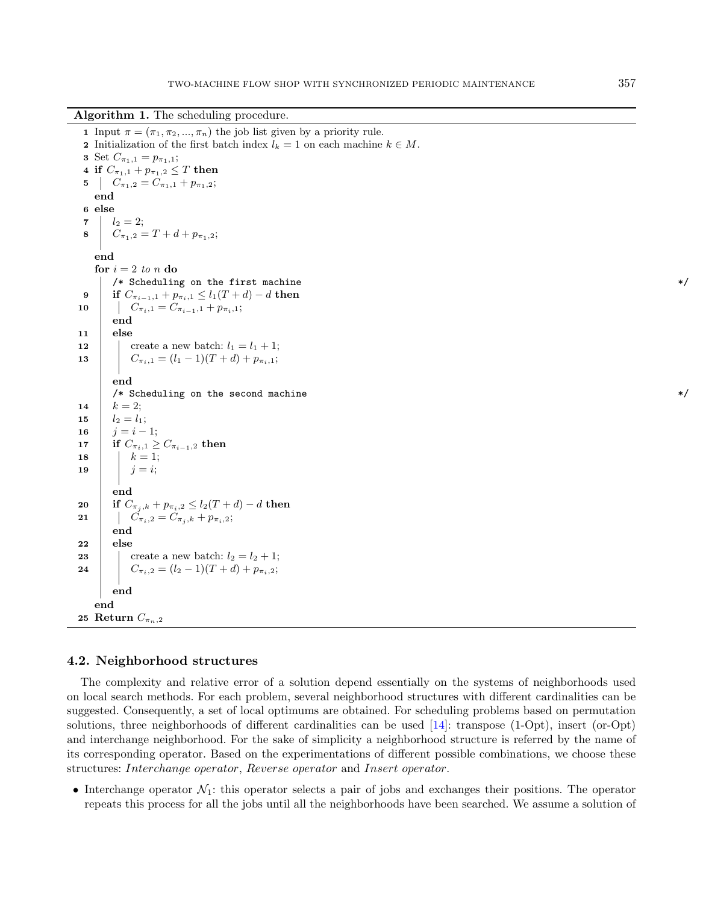Algorithm 1. The scheduling procedure.

<span id="page-6-0"></span>1 Input  $\pi = (\pi_1, \pi_2, ..., \pi_n)$  the job list given by a priority rule. 2 Initialization of the first batch index  $l_k = 1$  on each machine  $k \in M$ . 3 Set  $C_{\pi_1,1} = p_{\pi_1,1};$ 4 if  $C_{\pi_1,1} + p_{\pi_1,2} \leq T$  then 5  $C_{\pi_1,2} = C_{\pi_1,1} + p_{\pi_1,2};$ end 6 else 7  $l_2 = 2$ ; 8  $C_{\pi_1,2} = T + d + p_{\pi_1,2};$ end for  $i = 2$  to n do /\* Scheduling on the first machine \*/ 9 if  $C_{\pi_{i-1},1} + p_{\pi_i,1} \leq l_1(T+d) - d$  then<br>10  $C_{\pi_{i-1}} = C_{\pi_{i-1},1} + p_{\pi_{i},1}$ ;  $C_{\pi_i,1} = C_{\pi_{i-1},1} + p_{\pi_i,1};$ end  $11$  else 12 create a new batch:  $l_1 = l_1 + 1$ ; 13 |  $C_{\pi_i,1} = (l_1 - 1)(T + d) + p_{\pi_i,1};$ end  $/*$  Scheduling on the second machine  $*/$ 14  $k = 2$ ; 15  $l_2 = l_1;$ 16  $i = i - 1$ ; 17 if  $C_{\pi_{i},1} \geq C_{\pi_{i-1},2}$  then 18 |  $k = 1;$ 19 |  $j = i;$ end 20 if  $C_{\pi_i,k} + p_{\pi_i,2} \leq l_2(T+d) - d$  then 21 |  $C_{\pi_i,2} = C_{\pi_j,k} + p_{\pi_i,2};$ end 22 else 23 create a new batch:  $l_2 = l_2 + 1$ ; 24 |  $C_{\pi_i,2} = (l_2-1)(T+d) + p_{\pi_i,2};$ end end 25 Return  $C_{\pi_n,2}$ 

## 4.2. Neighborhood structures

The complexity and relative error of a solution depend essentially on the systems of neighborhoods used on local search methods. For each problem, several neighborhood structures with different cardinalities can be suggested. Consequently, a set of local optimums are obtained. For scheduling problems based on permutation solutions, three neighborhoods of different cardinalities can be used [\[14\]](#page-13-18): transpose (1-Opt), insert (or-Opt) and interchange neighborhood. For the sake of simplicity a neighborhood structure is referred by the name of its corresponding operator. Based on the experimentations of different possible combinations, we choose these structures: Interchange operator, Reverse operator and Insert operator.

• Interchange operator  $\mathcal{N}_1$ : this operator selects a pair of jobs and exchanges their positions. The operator repeats this process for all the jobs until all the neighborhoods have been searched. We assume a solution of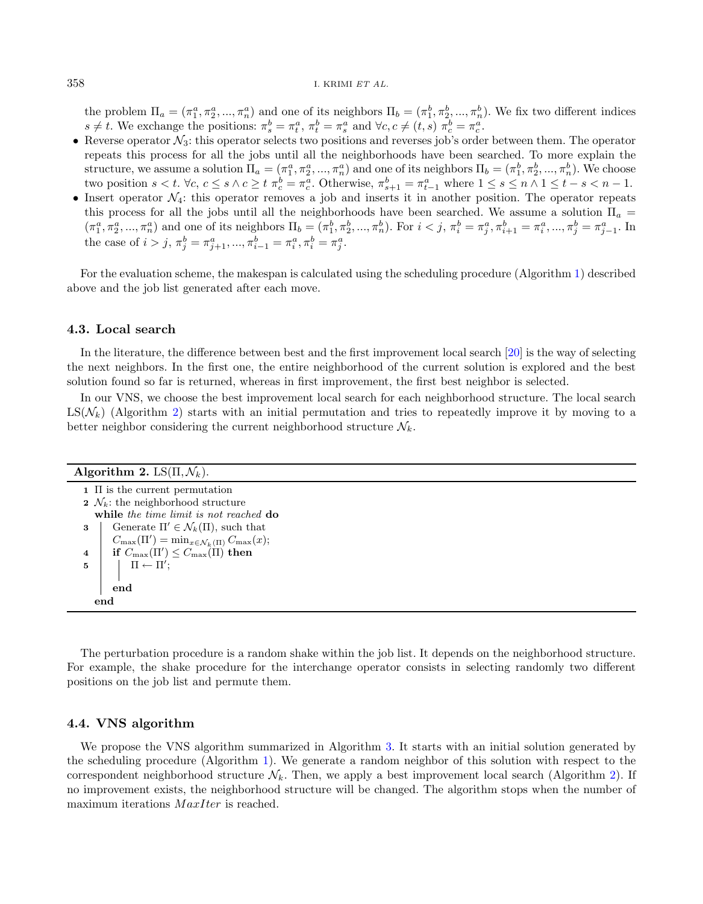the problem  $\Pi_a = (\pi_1^a, \pi_2^a, ..., \pi_n^a)$  and one of its neighbors  $\Pi_b = (\pi_1^b, \pi_2^b, ..., \pi_n^b)$ . We fix two different indices  $s \neq t$ . We exchange the positions:  $\pi_s^b = \pi_t^a$ ,  $\pi_t^b = \pi_s^a$  and  $\forall c, c \neq (t, s)$   $\pi_c^b = \pi_c^a$ .

- Reverse operator  $\mathcal{N}_3$ : this operator selects two positions and reverses job's order between them. The operator repeats this process for all the jobs until all the neighborhoods have been searched. To more explain the structure, we assume a solution  $\Pi_a = (\pi_1^a, \pi_2^a, ..., \pi_n^a)$  and one of its neighbors  $\Pi_b = (\pi_1^b, \pi_2^b, ..., \pi_n^b)$ . We choose two position  $s < t$ .  $\forall c, c \leq s \land c \geq t$   $\pi_c^b = \pi_c^a$ . Otherwise,  $\pi_{s+1}^b = \pi_{t-1}^a$  where  $1 \leq s \leq n \land 1 \leq t - s < n - 1$ .
- Insert operator  $\mathcal{N}_4$ : this operator removes a job and inserts it in another position. The operator repeats this process for all the jobs until all the neighborhoods have been searched. We assume a solution  $\Pi_a$  =  $(\pi_1^a, \pi_2^a, ..., \pi_n^a)$  and one of its neighbors  $\Pi_b = (\pi_1^b, \pi_2^b, ..., \pi_n^b)$ . For  $i < j$ ,  $\pi_i^b = \pi_j^a, \pi_{i+1}^b = \pi_i^a, ..., \pi_j^b = \pi_{j-1}^a$ . In the case of  $i > j$ ,  $\pi_j^b = \pi_{j+1}^a, ..., \pi_{i-1}^b = \pi_i^a, \pi_i^b = \pi_j^a$ .

For the evaluation scheme, the makespan is calculated using the scheduling procedure (Algorithm [1\)](#page-6-0) described above and the job list generated after each move.

### 4.3. Local search

In the literature, the difference between best and the first improvement local search [\[20\]](#page-13-19) is the way of selecting the next neighbors. In the first one, the entire neighborhood of the current solution is explored and the best solution found so far is returned, whereas in first improvement, the first best neighbor is selected.

In our VNS, we choose the best improvement local search for each neighborhood structure. The local search  $LS(N_k)$  (Algorithm [2\)](#page-7-0) starts with an initial permutation and tries to repeatedly improve it by moving to a better neighbor considering the current neighborhood structure  $\mathcal{N}_k$ .

<span id="page-7-0"></span>

| Algorithm 2. LS $(\Pi, \mathcal{N}_k)$ .                                           |
|------------------------------------------------------------------------------------|
| $1 \n\overline{1}$ is the current permutation                                      |
| 2 $\mathcal{N}_k$ : the neighborhood structure                                     |
| while the time limit is not reached do                                             |
| Generate $\Pi' \in \mathcal{N}_k(\Pi)$ , such that<br>3                            |
| $C_{\max}(\Pi') = \min_{x \in \mathcal{N}_k(\Pi)} C_{\max}(x);$                    |
| if $C_{\text{max}}(\Pi') \leq C_{\text{max}}(\Pi)$ then<br>$\overline{\mathbf{4}}$ |
| $\Pi \leftarrow \Pi'$ :<br>5                                                       |
|                                                                                    |
| end                                                                                |
| end                                                                                |

The perturbation procedure is a random shake within the job list. It depends on the neighborhood structure. For example, the shake procedure for the interchange operator consists in selecting randomly two different positions on the job list and permute them.

## 4.4. VNS algorithm

We propose the VNS algorithm summarized in Algorithm [3.](#page-8-1) It starts with an initial solution generated by the scheduling procedure (Algorithm [1\)](#page-6-0). We generate a random neighbor of this solution with respect to the correspondent neighborhood structure  $\mathcal{N}_k$ . Then, we apply a best improvement local search (Algorithm [2\)](#page-7-0). If no improvement exists, the neighborhood structure will be changed. The algorithm stops when the number of maximum iterations  $MaxIter$  is reached.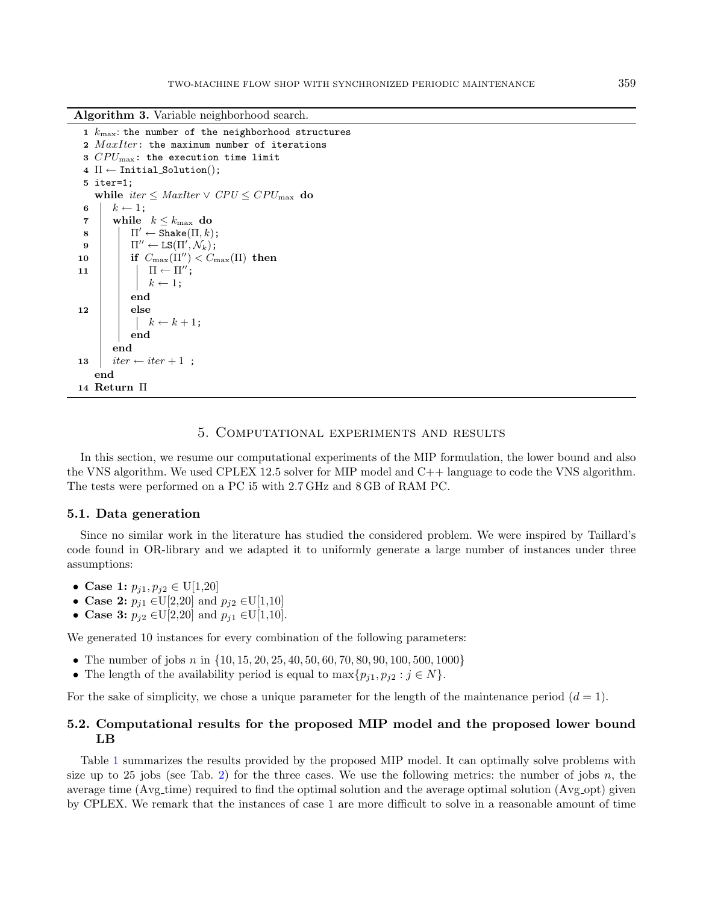Algorithm 3. Variable neighborhood search.

```
1 k_{\text{max}}: the number of the neighborhood structures
 2 MaxIter: the maximum number of iterations
 3 CPU_{\text{max}}: the execution time limit
 4 \Pi \leftarrow Initial_Solution();
 5 iter=1;
     while iter \leq MaxIter \vee CPU \leq CPU<sub>max</sub> do
 6 k \leftarrow 1:
 7 | while k \leq k_{\text{max}} do
  \begin{array}{|c|c|c|}\n\hline\n8 & 1\n\end{array}\n\quad \Pi' \leftarrow \mathtt{Shake}(\Pi, k);
  9 \quad | \quad \Pi'' \leftarrow \texttt{LS}(\Pi', \mathcal{N}_k);
10 if C_{\text{max}}(\Pi'') < C_{\text{max}}(\Pi) then
\begin{array}{|c|c|c|c|}\n\hline\n11 & | & \Pi \leftarrow \Pi''\n\end{array}k \leftarrow 1;
                end
12 else
                 \begin{array}{ccc} & k \leftarrow k + 1; \end{array}end
           end
13 \vert iter \leftarrow iter +1;
    end
14 Return Π
```
## 5. Computational experiments and results

<span id="page-8-0"></span>In this section, we resume our computational experiments of the MIP formulation, the lower bound and also the VNS algorithm. We used CPLEX 12.5 solver for MIP model and C++ language to code the VNS algorithm. The tests were performed on a PC i5 with 2.7 GHz and 8 GB of RAM PC.

#### 5.1. Data generation

Since no similar work in the literature has studied the considered problem. We were inspired by Taillard's code found in OR-library and we adapted it to uniformly generate a large number of instances under three assumptions:

- Case 1:  $p_{i1}, p_{i2} \in U[1, 20]$
- Case 2:  $p_{j1} \in U[2,20]$  and  $p_{j2} \in U[1,10]$
- Case 3:  $p_{i2} \in U[2,20]$  and  $p_{i1} \in U[1,10]$ .

We generated 10 instances for every combination of the following parameters:

- The number of jobs n in  $\{10, 15, 20, 25, 40, 50, 60, 70, 80, 90, 100, 500, 1000\}$
- The length of the availability period is equal to  $\max\{p_{j1}, p_{j2} : j \in N\}.$

For the sake of simplicity, we chose a unique parameter for the length of the maintenance period  $(d = 1)$ .

## 5.2. Computational results for the proposed MIP model and the proposed lower bound LB

Table [1](#page-9-0) summarizes the results provided by the proposed MIP model. It can optimally solve problems with size up to 25 jobs (see Tab. [2\)](#page-9-1) for the three cases. We use the following metrics: the number of jobs  $n$ , the average time (Avg\_time) required to find the optimal solution and the average optimal solution (Avg\_opt) given by CPLEX. We remark that the instances of case 1 are more difficult to solve in a reasonable amount of time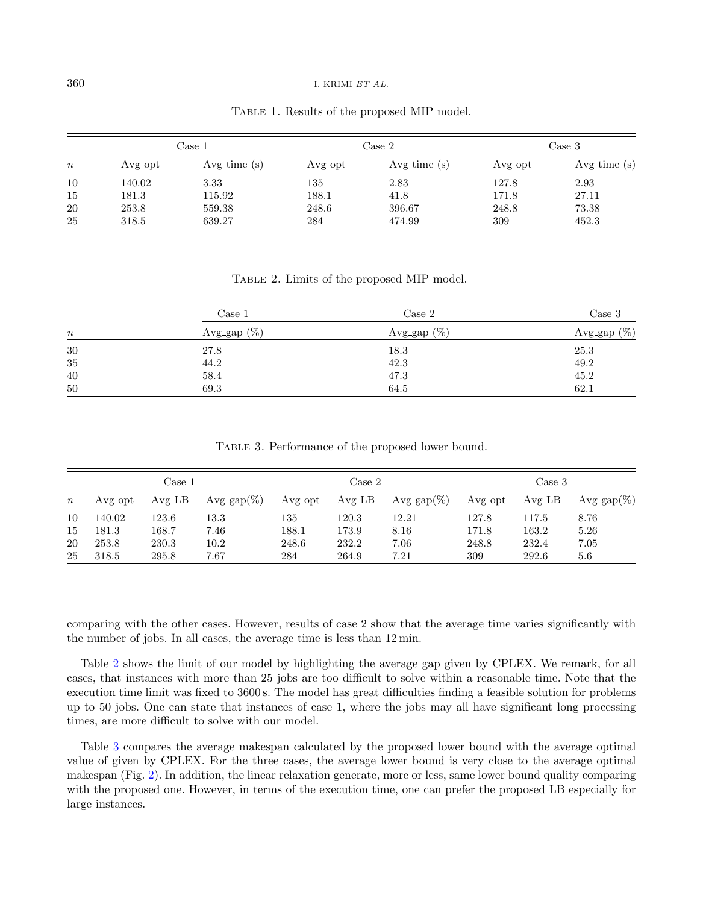|                  | Case 1             |               |         | Case 2        | Case 3             |               |
|------------------|--------------------|---------------|---------|---------------|--------------------|---------------|
| $\boldsymbol{n}$ | Avg <sub>opt</sub> | $Avg_time(s)$ | Avg_opt | $Avg_time(s)$ | Avg <sub>opt</sub> | $Avg_time(s)$ |
| 10               | 140.02             | 3.33          | 135     | 2.83          | 127.8              | 2.93          |
| 15               | 181.3              | 115.92        | 188.1   | 41.8          | 171.8              | 27.11         |
| 20               | 253.8              | 559.38        | 248.6   | 396.67        | 248.8              | 73.38         |
| 25               | 318.5              | 639.27        | 284     | 474.99        | 309                | 452.3         |

<span id="page-9-1"></span><span id="page-9-0"></span>Table 1. Results of the proposed MIP model.

<span id="page-9-2"></span>Table 2. Limits of the proposed MIP model.

| $\it n$ | Case 1         | $\text{Case} 2$ | Case 3         |  |
|---------|----------------|-----------------|----------------|--|
|         | Avg_gap $(\%)$ | Avg_gap $(\%)$  | Avg_gap $(\%)$ |  |
| $30\,$  | 27.8           | 18.3            | 25.3           |  |
| $35\,$  | 44.2           | 42.3            | 49.2           |  |
| 40      | $58.4\,$       | 47.3            | 45.2           |  |
| 50      | 69.3           | 64.5            | 62.1           |  |

Table 3. Performance of the proposed lower bound.

|       | Case 1             |          |                | Case 2  |       |                | Case 3  |                      |               |
|-------|--------------------|----------|----------------|---------|-------|----------------|---------|----------------------|---------------|
| $\,n$ | Avg <sub>opt</sub> | $Avg_LB$ | Avg_gap $(\%)$ | Avg_opt | AvgLB | $Avg\_gap(\%)$ | Avg_opt | $Avg$ <sub>-LB</sub> | $Avg-gap(\%)$ |
| 10    | 140.02             | 123.6    | 13.3           | 135     | 120.3 | 12.21          | 127.8   | 117.5                | 8.76          |
| 15    | 181.3              | 168.7    | 7.46           | 188.1   | 173.9 | 8.16           | 171.8   | 163.2                | 5.26          |
| 20    | 253.8              | 230.3    | $10.2\,$       | 248.6   | 232.2 | 7.06           | 248.8   | 232.4                | 7.05          |
| 25    | 318.5              | 295.8    | 7.67           | 284     | 264.9 | 7.21           | 309     | 292.6                | 5.6           |

comparing with the other cases. However, results of case 2 show that the average time varies significantly with the number of jobs. In all cases, the average time is less than 12 min.

Table [2](#page-9-1) shows the limit of our model by highlighting the average gap given by CPLEX. We remark, for all cases, that instances with more than 25 jobs are too difficult to solve within a reasonable time. Note that the execution time limit was fixed to 3600 s. The model has great difficulties finding a feasible solution for problems up to 50 jobs. One can state that instances of case 1, where the jobs may all have significant long processing times, are more difficult to solve with our model.

Table [3](#page-9-2) compares the average makespan calculated by the proposed lower bound with the average optimal value of given by CPLEX. For the three cases, the average lower bound is very close to the average optimal makespan (Fig. [2\)](#page-10-0). In addition, the linear relaxation generate, more or less, same lower bound quality comparing with the proposed one. However, in terms of the execution time, one can prefer the proposed LB especially for large instances.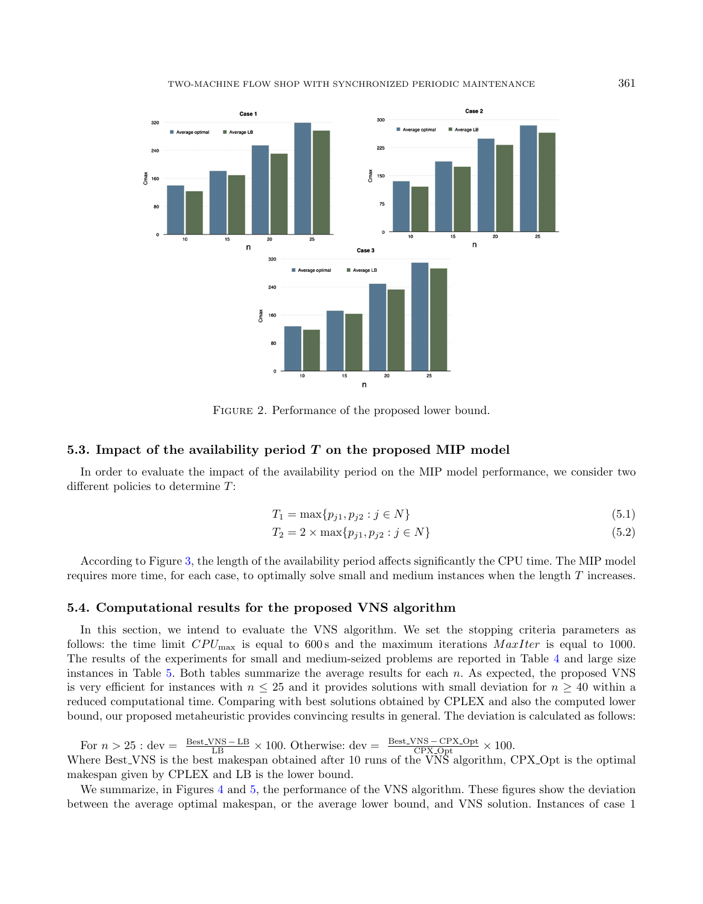#### TWO-MACHINE FLOW SHOP WITH SYNCHRONIZED PERIODIC MAINTENANCE 361



<span id="page-10-0"></span>Figure 2. Performance of the proposed lower bound.

## 5.3. Impact of the availability period  $T$  on the proposed MIP model

In order to evaluate the impact of the availability period on the MIP model performance, we consider two different policies to determine T:

$$
T_1 = \max\{p_{j1}, p_{j2} : j \in N\}
$$
\n(5.1)

$$
T_2 = 2 \times \max\{p_{j1}, p_{j2} : j \in N\}
$$
\n(5.2)

According to Figure [3,](#page-11-0) the length of the availability period affects significantly the CPU time. The MIP model requires more time, for each case, to optimally solve small and medium instances when the length T increases.

## 5.4. Computational results for the proposed VNS algorithm

In this section, we intend to evaluate the VNS algorithm. We set the stopping criteria parameters as follows: the time limit  $CPU_{\text{max}}$  is equal to 600s and the maximum iterations  $MaxIter$  is equal to 1000. The results of the experiments for small and medium-seized problems are reported in Table [4](#page-11-1) and large size instances in Table [5.](#page-11-2) Both tables summarize the average results for each  $n$ . As expected, the proposed VNS is very efficient for instances with  $n \leq 25$  and it provides solutions with small deviation for  $n \geq 40$  within a reduced computational time. Comparing with best solutions obtained by CPLEX and also the computed lower bound, our proposed metaheuristic provides convincing results in general. The deviation is calculated as follows:

For  $n > 25$ : dev =  $\frac{\text{Best.VNS} - \text{LB}}{\text{LB}} \times 100$ . Otherwise: dev =  $\frac{\text{Best.VNS} - \text{CPX} - \text{Opt}}{\text{CPX} - \text{Opt}} \times 100$ . Where Best VNS is the best makespan obtained after 10 runs of the VNS algorithm, CPX Opt is the optimal makespan given by CPLEX and LB is the lower bound.

We summarize, in Figures [4](#page-12-0) and [5,](#page-12-1) the performance of the VNS algorithm. These figures show the deviation between the average optimal makespan, or the average lower bound, and VNS solution. Instances of case 1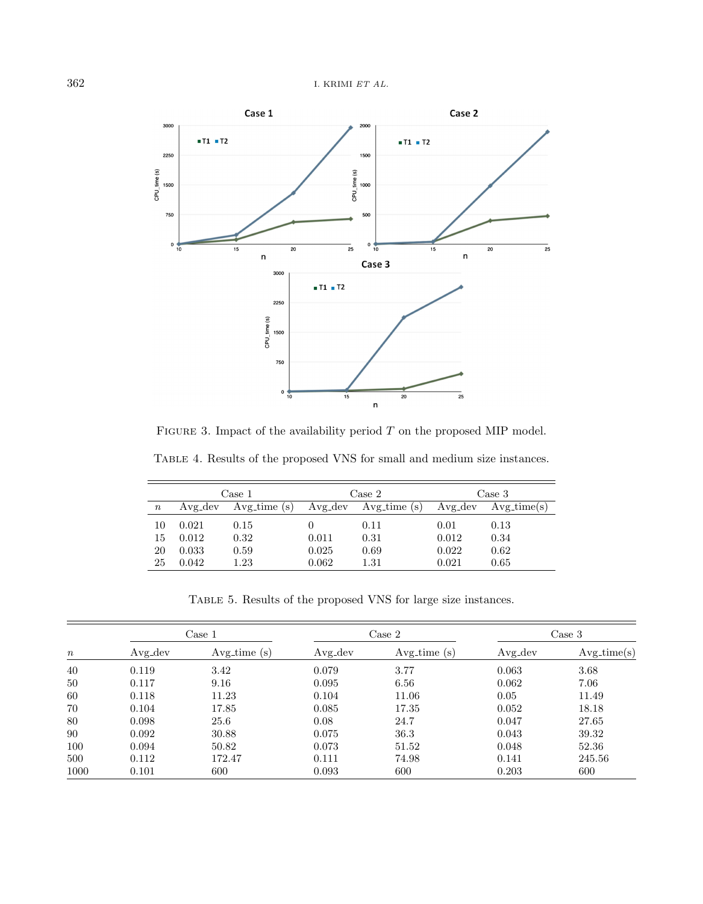

<span id="page-11-2"></span><span id="page-11-1"></span><span id="page-11-0"></span>FIGURE 3. Impact of the availability period  $T$  on the proposed MIP model.

Table 4. Results of the proposed VNS for small and medium size instances.

|          | Case 1  |               |         | Case 2        | Case 3  |               |  |
|----------|---------|---------------|---------|---------------|---------|---------------|--|
| $\it{n}$ | Avg_dev | $Avg_time(s)$ | Avg_dev | $Avg_time(s)$ | Avg_dev | $Avg_time(s)$ |  |
| 10       | 0.021   | 0.15          | 0.011   | 0.11          | 0.01    | 0.13          |  |
| 15       | 0.012   | 0.32          |         | 0.31          | 0.012   | 0.34          |  |
| 20       | 0.033   | 0.59          | 0.025   | 0.69          | 0.022   | 0.62          |  |
| 25       | 0.042   | 1.23          | 0.062   | $1.31\,$      | 0.021   | 0.65          |  |

Table 5. Results of the proposed VNS for large size instances.

| $\, n \,$ | Case 1     |               |            | Case 2        | Case 3     |               |
|-----------|------------|---------------|------------|---------------|------------|---------------|
|           | $Avg\_dev$ | $Avg_time(s)$ | $Avg\_dev$ | $Avg_time(s)$ | $Avg\_dev$ | $Avg_time(s)$ |
| 40        | 0.119      | 3.42          | 0.079      | 3.77          | 0.063      | 3.68          |
| 50        | 0.117      | 9.16          | 0.095      | 6.56          | 0.062      | 7.06          |
| 60        | 0.118      | 11.23         | 0.104      | 11.06         | 0.05       | 11.49         |
| 70        | 0.104      | 17.85         | 0.085      | 17.35         | 0.052      | 18.18         |
| 80        | 0.098      | 25.6          | 0.08       | 24.7          | 0.047      | 27.65         |
| 90        | 0.092      | 30.88         | 0.075      | 36.3          | 0.043      | 39.32         |
| 100       | 0.094      | 50.82         | 0.073      | 51.52         | 0.048      | 52.36         |
| 500       | 0.112      | 172.47        | 0.111      | 74.98         | 0.141      | 245.56        |
| 1000      | 0.101      | 600           | 0.093      | 600           | 0.203      | 600           |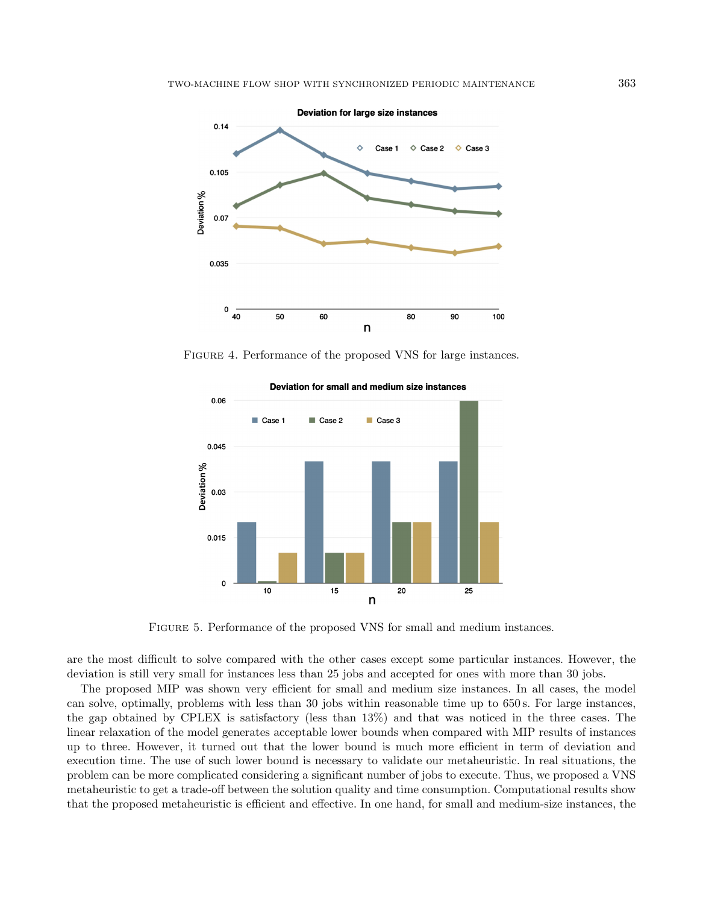<span id="page-12-0"></span>

FIGURE 4. Performance of the proposed VNS for large instances.

<span id="page-12-1"></span>

Deviation for small and medium size instances

Figure 5. Performance of the proposed VNS for small and medium instances.

are the most difficult to solve compared with the other cases except some particular instances. However, the deviation is still very small for instances less than 25 jobs and accepted for ones with more than 30 jobs.

The proposed MIP was shown very efficient for small and medium size instances. In all cases, the model can solve, optimally, problems with less than 30 jobs within reasonable time up to 650 s. For large instances, the gap obtained by CPLEX is satisfactory (less than 13%) and that was noticed in the three cases. The linear relaxation of the model generates acceptable lower bounds when compared with MIP results of instances up to three. However, it turned out that the lower bound is much more efficient in term of deviation and execution time. The use of such lower bound is necessary to validate our metaheuristic. In real situations, the problem can be more complicated considering a significant number of jobs to execute. Thus, we proposed a VNS metaheuristic to get a trade-off between the solution quality and time consumption. Computational results show that the proposed metaheuristic is efficient and effective. In one hand, for small and medium-size instances, the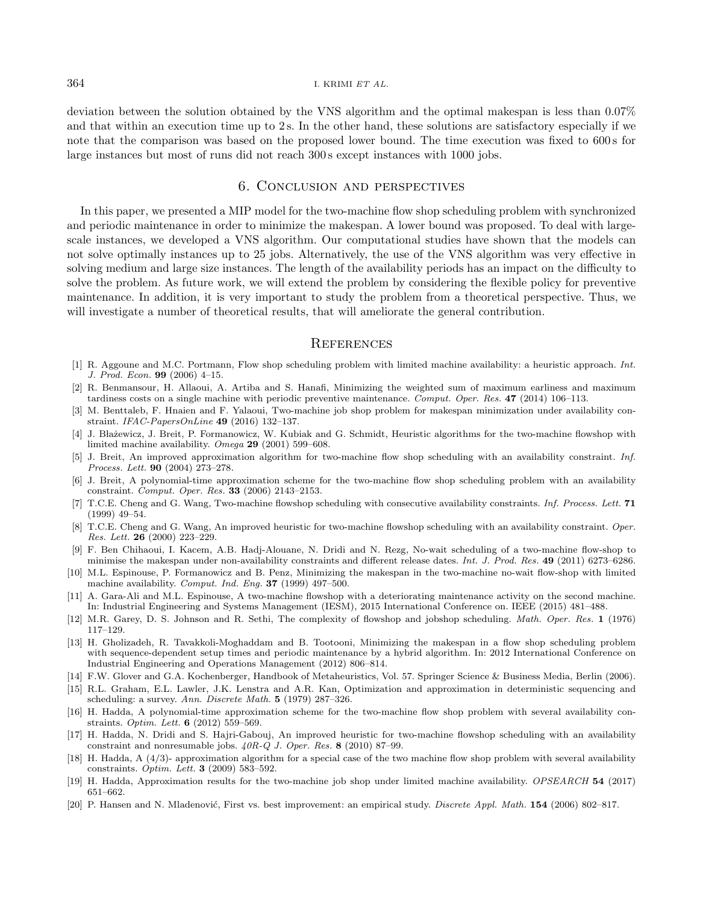deviation between the solution obtained by the VNS algorithm and the optimal makespan is less than 0.07% and that within an execution time up to 2s. In the other hand, these solutions are satisfactory especially if we note that the comparison was based on the proposed lower bound. The time execution was fixed to 600 s for large instances but most of runs did not reach 300 s except instances with 1000 jobs.

## 6. Conclusion and perspectives

<span id="page-13-13"></span><span id="page-13-5"></span><span id="page-13-4"></span><span id="page-13-2"></span>In this paper, we presented a MIP model for the two-machine flow shop scheduling problem with synchronized and periodic maintenance in order to minimize the makespan. A lower bound was proposed. To deal with largescale instances, we developed a VNS algorithm. Our computational studies have shown that the models can not solve optimally instances up to 25 jobs. Alternatively, the use of the VNS algorithm was very effective in solving medium and large size instances. The length of the availability periods has an impact on the difficulty to solve the problem. As future work, we will extend the problem by considering the flexible policy for preventive maintenance. In addition, it is very important to study the problem from a theoretical perspective. Thus, we will investigate a number of theoretical results, that will ameliorate the general contribution.

## **REFERENCES**

- <span id="page-13-14"></span><span id="page-13-10"></span><span id="page-13-9"></span><span id="page-13-6"></span>[1] R. Aggoune and M.C. Portmann, Flow shop scheduling problem with limited machine availability: a heuristic approach. Int. J. Prod. Econ. 99 (2006) 4–15.
- <span id="page-13-16"></span>[2] R. Benmansour, H. Allaoui, A. Artiba and S. Hanafi, Minimizing the weighted sum of maximum earliness and maximum tardiness costs on a single machine with periodic preventive maintenance. Comput. Oper. Res. 47 (2014) 106–113.
- <span id="page-13-15"></span>[3] M. Benttaleb, F. Hnaien and F. Yalaoui, Two-machine job shop problem for makespan minimization under availability constraint. IFAC-PapersOnLine 49 (2016) 132–137.
- <span id="page-13-17"></span>[4] J. Błażewicz, J. Breit, P. Formanowicz, W. Kubiak and G. Schmidt, Heuristic algorithms for the two-machine flowshop with limited machine availability. Omega 29 (2001) 599–608.
- <span id="page-13-0"></span>[5] J. Breit, An improved approximation algorithm for two-machine flow shop scheduling with an availability constraint. Inf. Process. Lett. 90 (2004) 273–278.
- <span id="page-13-3"></span>[6] J. Breit, A polynomial-time approximation scheme for the two-machine flow shop scheduling problem with an availability constraint. Comput. Oper. Res. 33 (2006) 2143–2153.
- <span id="page-13-18"></span>[7] T.C.E. Cheng and G. Wang, Two-machine flowshop scheduling with consecutive availability constraints. Inf. Process. Lett. 71 (1999) 49–54.
- <span id="page-13-1"></span>[8] T.C.E. Cheng and G. Wang, An improved heuristic for two-machine flowshop scheduling with an availability constraint. Oper. Res. Lett. 26 (2000) 223–229.
- <span id="page-13-8"></span>[9] F. Ben Chihaoui, I. Kacem, A.B. Hadj-Alouane, N. Dridi and N. Rezg, No-wait scheduling of a two-machine flow-shop to minimise the makespan under non-availability constraints and different release dates. Int. J. Prod. Res. 49 (2011) 6273–6286.
- <span id="page-13-7"></span>[10] M.L. Espinouse, P. Formanowicz and B. Penz, Minimizing the makespan in the two-machine no-wait flow-shop with limited machine availability. Comput. Ind. Eng. 37 (1999) 497–500.
- <span id="page-13-11"></span>[11] A. Gara-Ali and M.L. Espinouse, A two-machine flowshop with a deteriorating maintenance activity on the second machine. In: Industrial Engineering and Systems Management (IESM), 2015 International Conference on. IEEE (2015) 481–488.
- <span id="page-13-12"></span>[12] M.R. Garey, D. S. Johnson and R. Sethi, The complexity of flowshop and jobshop scheduling. Math. Oper. Res. 1 (1976) 117–129.
- <span id="page-13-19"></span>[13] H. Gholizadeh, R. Tavakkoli-Moghaddam and B. Tootooni, Minimizing the makespan in a flow shop scheduling problem with sequence-dependent setup times and periodic maintenance by a hybrid algorithm. In: 2012 International Conference on Industrial Engineering and Operations Management (2012) 806–814.
- [14] F.W. Glover and G.A. Kochenberger, Handbook of Metaheuristics, Vol. 57. Springer Science & Business Media, Berlin (2006).
- [15] R.L. Graham, E.L. Lawler, J.K. Lenstra and A.R. Kan, Optimization and approximation in deterministic sequencing and scheduling: a survey. Ann. Discrete Math. 5 (1979) 287–326.
- [16] H. Hadda, A polynomial-time approximation scheme for the two-machine flow shop problem with several availability constraints. Optim. Lett. 6 (2012) 559–569.
- [17] H. Hadda, N. Dridi and S. Hajri-Gabouj, An improved heuristic for two-machine flowshop scheduling with an availability constraint and nonresumable jobs. 40R-Q J. Oper. Res. 8 (2010) 87–99.
- [18] H. Hadda, A (4/3)- approximation algorithm for a special case of the two machine flow shop problem with several availability constraints. Optim. Lett. 3 (2009) 583–592.
- [19] H. Hadda, Approximation results for the two-machine job shop under limited machine availability. OPSEARCH 54 (2017) 651–662.
- [20] P. Hansen and N. Mladenović, First vs. best improvement: an empirical study. *Discrete Appl. Math.* **154** (2006) 802–817.